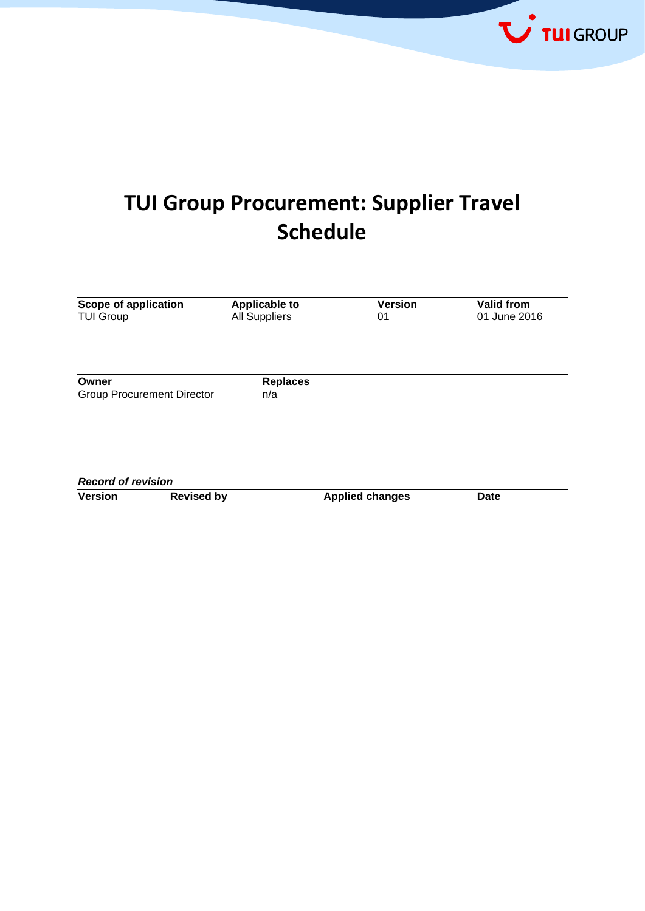

# **TUI Group Procurement: Supplier Travel Schedule**

| Scope of application<br><b>TUI Group</b>   | <b>Applicable to</b><br><b>All Suppliers</b> | <b>Version</b><br>01   | Valid from<br>01 June 2016 |
|--------------------------------------------|----------------------------------------------|------------------------|----------------------------|
| Owner<br><b>Group Procurement Director</b> | <b>Replaces</b><br>n/a                       |                        |                            |
|                                            |                                              |                        |                            |
| <b>Record of revision</b>                  |                                              |                        |                            |
| <b>Version</b><br><b>Revised by</b>        |                                              | <b>Applied changes</b> | <b>Date</b>                |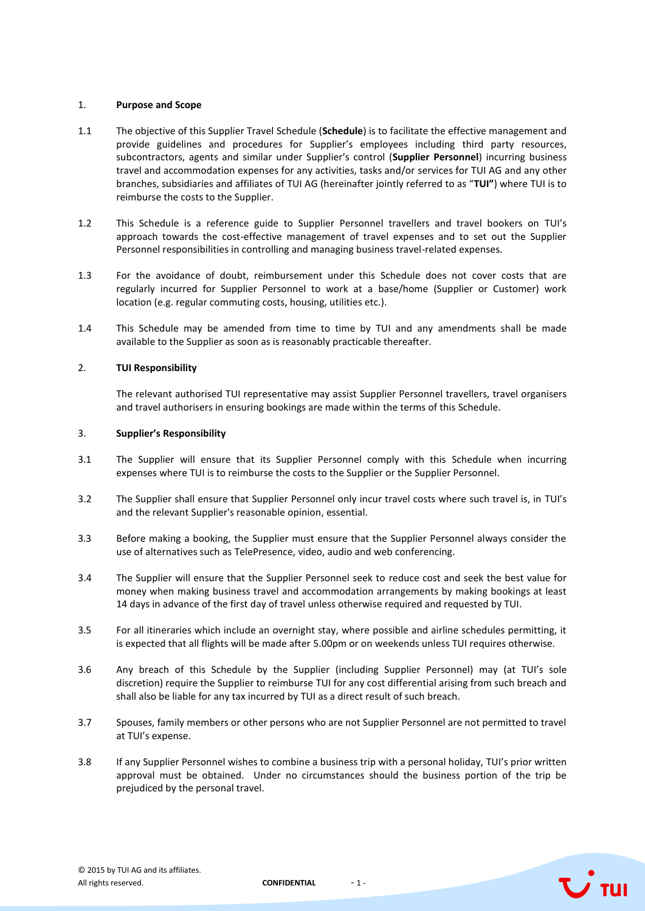## 1. **Purpose and Scope**

- 1.1 The objective of this Supplier Travel Schedule (**Schedule**) is to facilitate the effective management and provide guidelines and procedures for Supplier's employees including third party resources, subcontractors, agents and similar under Supplier's control (**Supplier Personnel**) incurring business travel and accommodation expenses for any activities, tasks and/or services for TUI AG and any other branches, subsidiaries and affiliates of TUI AG (hereinafter jointly referred to as "**TUI"**) where TUI is to reimburse the costs to the Supplier.
- 1.2 This Schedule is a reference guide to Supplier Personnel travellers and travel bookers on TUI's approach towards the cost-effective management of travel expenses and to set out the Supplier Personnel responsibilities in controlling and managing business travel-related expenses.
- 1.3 For the avoidance of doubt, reimbursement under this Schedule does not cover costs that are regularly incurred for Supplier Personnel to work at a base/home (Supplier or Customer) work location (e.g. regular commuting costs, housing, utilities etc.).
- 1.4 This Schedule may be amended from time to time by TUI and any amendments shall be made available to the Supplier as soon as is reasonably practicable thereafter.

## 2. **TUI Responsibility**

The relevant authorised TUI representative may assist Supplier Personnel travellers, travel organisers and travel authorisers in ensuring bookings are made within the terms of this Schedule.

## 3. **Supplier's Responsibility**

- 3.1 The Supplier will ensure that its Supplier Personnel comply with this Schedule when incurring expenses where TUI is to reimburse the costs to the Supplier or the Supplier Personnel.
- 3.2 The Supplier shall ensure that Supplier Personnel only incur travel costs where such travel is, in TUI's and the relevant Supplier's reasonable opinion, essential.
- 3.3 Before making a booking, the Supplier must ensure that the Supplier Personnel always consider the use of alternatives such as TelePresence, video, audio and web conferencing.
- 3.4 The Supplier will ensure that the Supplier Personnel seek to reduce cost and seek the best value for money when making business travel and accommodation arrangements by making bookings at least 14 days in advance of the first day of travel unless otherwise required and requested by TUI.
- 3.5 For all itineraries which include an overnight stay, where possible and airline schedules permitting, it is expected that all flights will be made after 5.00pm or on weekends unless TUI requires otherwise.
- 3.6 Any breach of this Schedule by the Supplier (including Supplier Personnel) may (at TUI's sole discretion) require the Supplier to reimburse TUI for any cost differential arising from such breach and shall also be liable for any tax incurred by TUI as a direct result of such breach.
- 3.7 Spouses, family members or other persons who are not Supplier Personnel are not permitted to travel at TUI's expense.
- 3.8 If any Supplier Personnel wishes to combine a business trip with a personal holiday, TUI's prior written approval must be obtained. Under no circumstances should the business portion of the trip be prejudiced by the personal travel.



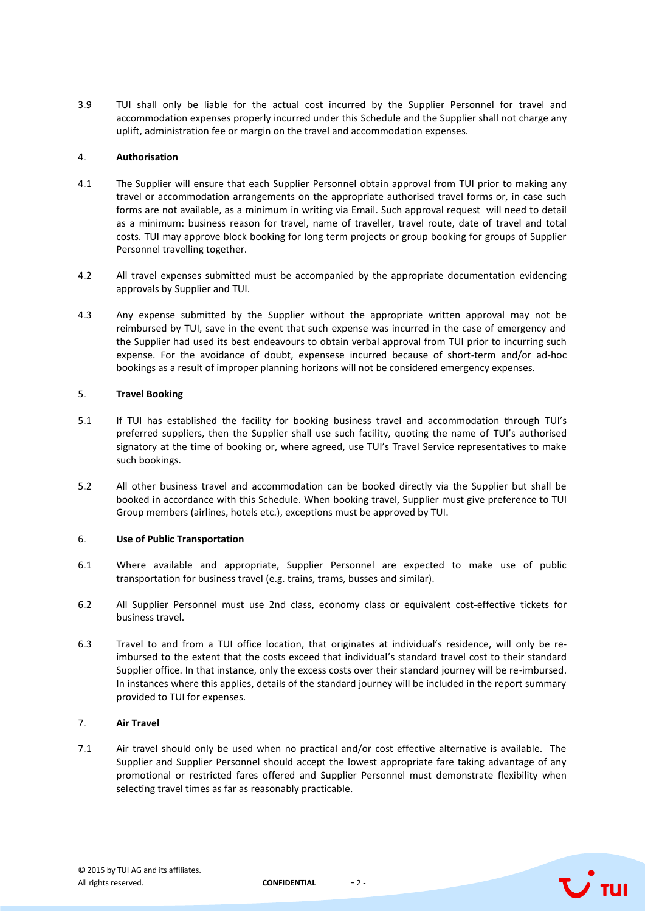3.9 TUI shall only be liable for the actual cost incurred by the Supplier Personnel for travel and accommodation expenses properly incurred under this Schedule and the Supplier shall not charge any uplift, administration fee or margin on the travel and accommodation expenses.

## 4. **Authorisation**

- 4.1 The Supplier will ensure that each Supplier Personnel obtain approval from TUI prior to making any travel or accommodation arrangements on the appropriate authorised travel forms or, in case such forms are not available, as a minimum in writing via Email. Such approval request will need to detail as a minimum: business reason for travel, name of traveller, travel route, date of travel and total costs. TUI may approve block booking for long term projects or group booking for groups of Supplier Personnel travelling together.
- 4.2 All travel expenses submitted must be accompanied by the appropriate documentation evidencing approvals by Supplier and TUI.
- 4.3 Any expense submitted by the Supplier without the appropriate written approval may not be reimbursed by TUI, save in the event that such expense was incurred in the case of emergency and the Supplier had used its best endeavours to obtain verbal approval from TUI prior to incurring such expense. For the avoidance of doubt, expensese incurred because of short-term and/or ad-hoc bookings as a result of improper planning horizons will not be considered emergency expenses.

## 5. **Travel Booking**

- 5.1 If TUI has established the facility for booking business travel and accommodation through TUI's preferred suppliers, then the Supplier shall use such facility, quoting the name of TUI's authorised signatory at the time of booking or, where agreed, use TUI's Travel Service representatives to make such bookings.
- 5.2 All other business travel and accommodation can be booked directly via the Supplier but shall be booked in accordance with this Schedule. When booking travel, Supplier must give preference to TUI Group members (airlines, hotels etc.), exceptions must be approved by TUI.

## 6. **Use of Public Transportation**

- 6.1 Where available and appropriate, Supplier Personnel are expected to make use of public transportation for business travel (e.g. trains, trams, busses and similar).
- 6.2 All Supplier Personnel must use 2nd class, economy class or equivalent cost-effective tickets for business travel.
- 6.3 Travel to and from a TUI office location, that originates at individual's residence, will only be reimbursed to the extent that the costs exceed that individual's standard travel cost to their standard Supplier office. In that instance, only the excess costs over their standard journey will be re-imbursed. In instances where this applies, details of the standard journey will be included in the report summary provided to TUI for expenses.

## 7. **Air Travel**

7.1 Air travel should only be used when no practical and/or cost effective alternative is available. The Supplier and Supplier Personnel should accept the lowest appropriate fare taking advantage of any promotional or restricted fares offered and Supplier Personnel must demonstrate flexibility when selecting travel times as far as reasonably practicable.



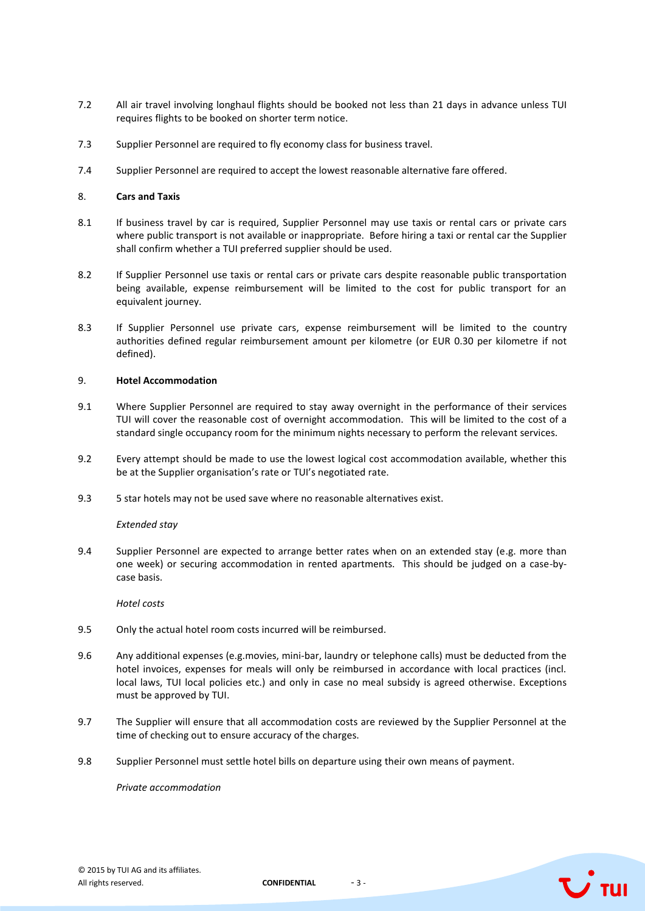- 7.2 All air travel involving longhaul flights should be booked not less than 21 days in advance unless TUI requires flights to be booked on shorter term notice.
- 7.3 Supplier Personnel are required to fly economy class for business travel.
- 7.4 Supplier Personnel are required to accept the lowest reasonable alternative fare offered.

## 8. **Cars and Taxis**

- 8.1 If business travel by car is required, Supplier Personnel may use taxis or rental cars or private cars where public transport is not available or inappropriate. Before hiring a taxi or rental car the Supplier shall confirm whether a TUI preferred supplier should be used.
- 8.2 If Supplier Personnel use taxis or rental cars or private cars despite reasonable public transportation being available, expense reimbursement will be limited to the cost for public transport for an equivalent journey.
- 8.3 If Supplier Personnel use private cars, expense reimbursement will be limited to the country authorities defined regular reimbursement amount per kilometre (or EUR 0.30 per kilometre if not defined).

## 9. **Hotel Accommodation**

- 9.1 Where Supplier Personnel are required to stay away overnight in the performance of their services TUI will cover the reasonable cost of overnight accommodation. This will be limited to the cost of a standard single occupancy room for the minimum nights necessary to perform the relevant services.
- 9.2 Every attempt should be made to use the lowest logical cost accommodation available, whether this be at the Supplier organisation's rate or TUI's negotiated rate.
- 9.3 5 star hotels may not be used save where no reasonable alternatives exist.

## *Extended stay*

9.4 Supplier Personnel are expected to arrange better rates when on an extended stay (e.g. more than one week) or securing accommodation in rented apartments. This should be judged on a case-bycase basis.

*Hotel costs*

- 9.5 Only the actual hotel room costs incurred will be reimbursed.
- 9.6 Any additional expenses (e.g.movies, mini-bar, laundry or telephone calls) must be deducted from the hotel invoices, expenses for meals will only be reimbursed in accordance with local practices (incl. local laws, TUI local policies etc.) and only in case no meal subsidy is agreed otherwise. Exceptions must be approved by TUI.
- 9.7 The Supplier will ensure that all accommodation costs are reviewed by the Supplier Personnel at the time of checking out to ensure accuracy of the charges.
- 9.8 Supplier Personnel must settle hotel bills on departure using their own means of payment.

*Private accommodation*

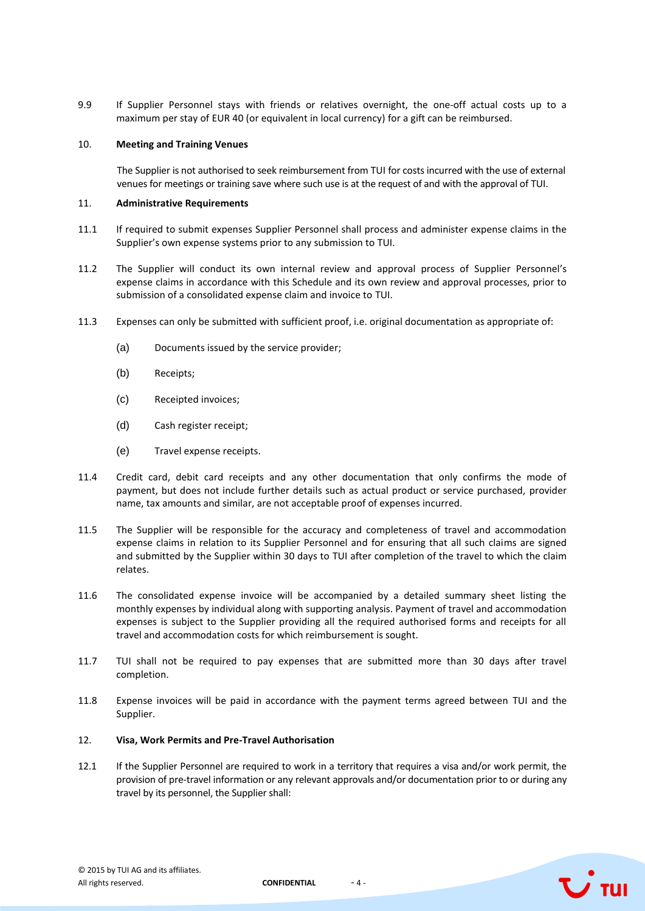9.9 If Supplier Personnel stays with friends or relatives overnight, the one-off actual costs up to a maximum per stay of EUR 40 (or equivalent in local currency) for a gift can be reimbursed.

## 10. **Meeting and Training Venues**

The Supplier is not authorised to seek reimbursement from TUI for costs incurred with the use of external venues for meetings or training save where such use is at the request of and with the approval of TUI.

## 11. **Administrative Requirements**

- 11.1 If required to submit expenses Supplier Personnel shall process and administer expense claims in the Supplier's own expense systems prior to any submission to TUI.
- 11.2 The Supplier will conduct its own internal review and approval process of Supplier Personnel's expense claims in accordance with this Schedule and its own review and approval processes, prior to submission of a consolidated expense claim and invoice to TUI.
- 11.3 Expenses can only be submitted with sufficient proof, i.e. original documentation as appropriate of:
	- (a) Documents issued by the service provider;
	- (b) Receipts;
	- (c) Receipted invoices;
	- (d) Cash register receipt;
	- (e) Travel expense receipts.
- 11.4 Credit card, debit card receipts and any other documentation that only confirms the mode of payment, but does not include further details such as actual product or service purchased, provider name, tax amounts and similar, are not acceptable proof of expenses incurred.
- 11.5 The Supplier will be responsible for the accuracy and completeness of travel and accommodation expense claims in relation to its Supplier Personnel and for ensuring that all such claims are signed and submitted by the Supplier within 30 days to TUI after completion of the travel to which the claim relates.
- 11.6 The consolidated expense invoice will be accompanied by a detailed summary sheet listing the monthly expenses by individual along with supporting analysis. Payment of travel and accommodation expenses is subject to the Supplier providing all the required authorised forms and receipts for all travel and accommodation costs for which reimbursement is sought.
- 11.7 TUI shall not be required to pay expenses that are submitted more than 30 days after travel completion.
- 11.8 Expense invoices will be paid in accordance with the payment terms agreed between TUI and the Supplier.

## 12. **Visa, Work Permits and Pre-Travel Authorisation**

12.1 If the Supplier Personnel are required to work in a territory that requires a visa and/or work permit, the provision of pre-travel information or any relevant approvals and/or documentation prior to or during any travel by its personnel, the Supplier shall:





 $\mathbf{U}$  tul